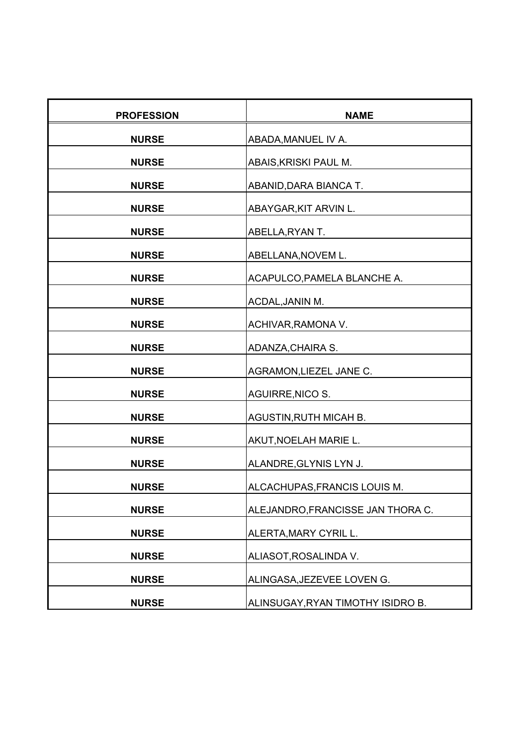| <b>PROFESSION</b> | <b>NAME</b>                       |
|-------------------|-----------------------------------|
| <b>NURSE</b>      | ABADA, MANUEL IV A.               |
| <b>NURSE</b>      | ABAIS, KRISKI PAUL M.             |
| <b>NURSE</b>      | ABANID, DARA BIANCA T.            |
| <b>NURSE</b>      | ABAYGAR, KIT ARVIN L.             |
| <b>NURSE</b>      | ABELLA, RYAN T.                   |
| <b>NURSE</b>      | ABELLANA, NOVEM L.                |
| <b>NURSE</b>      | ACAPULCO, PAMELA BLANCHE A.       |
| <b>NURSE</b>      | ACDAL, JANIN M.                   |
| <b>NURSE</b>      | ACHIVAR, RAMONA V.                |
| <b>NURSE</b>      | ADANZA, CHAIRA S.                 |
| <b>NURSE</b>      | AGRAMON, LIEZEL JANE C.           |
| <b>NURSE</b>      | <b>AGUIRRE, NICO S.</b>           |
| <b>NURSE</b>      | <b>AGUSTIN, RUTH MICAH B.</b>     |
| <b>NURSE</b>      | AKUT, NOELAH MARIE L.             |
| <b>NURSE</b>      | ALANDRE, GLYNIS LYN J.            |
| <b>NURSE</b>      | ALCACHUPAS, FRANCIS LOUIS M.      |
| <b>NURSE</b>      | ALEJANDRO, FRANCISSE JAN THORA C. |
| <b>NURSE</b>      | ALERTA, MARY CYRIL L.             |
| <b>NURSE</b>      | ALIASOT, ROSALINDA V.             |
| <b>NURSE</b>      | ALINGASA, JEZEVEE LOVEN G.        |
| <b>NURSE</b>      | ALINSUGAY, RYAN TIMOTHY ISIDRO B. |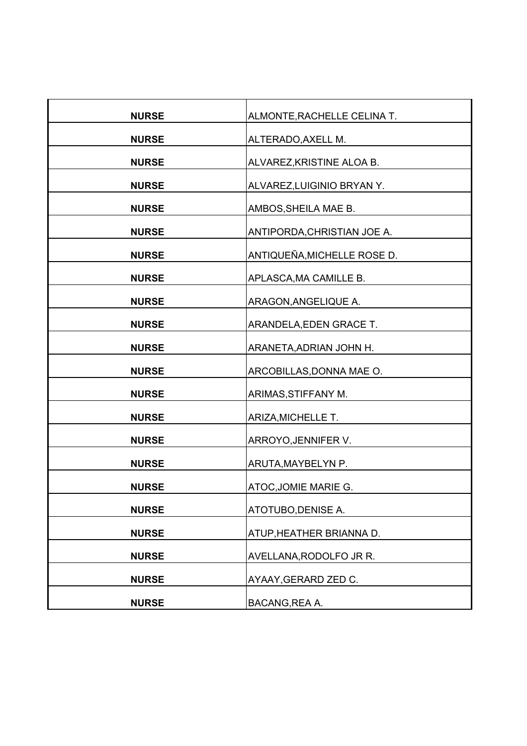| <b>NURSE</b> | ALMONTE, RACHELLE CELINA T. |
|--------------|-----------------------------|
| <b>NURSE</b> | ALTERADO, AXELL M.          |
| <b>NURSE</b> | ALVAREZ, KRISTINE ALOA B.   |
| <b>NURSE</b> | ALVAREZ, LUIGINIO BRYANY.   |
| <b>NURSE</b> | AMBOS, SHEILA MAE B.        |
| <b>NURSE</b> | ANTIPORDA, CHRISTIAN JOE A. |
| <b>NURSE</b> | ANTIQUEÑA, MICHELLE ROSE D. |
| <b>NURSE</b> | APLASCA, MA CAMILLE B.      |
| <b>NURSE</b> | ARAGON, ANGELIQUE A.        |
|              |                             |
| <b>NURSE</b> | ARANDELA, EDEN GRACE T.     |
| <b>NURSE</b> | ARANETA, ADRIAN JOHN H.     |
| <b>NURSE</b> | ARCOBILLAS, DONNA MAE O.    |
| <b>NURSE</b> | ARIMAS, STIFFANY M.         |
| <b>NURSE</b> | ARIZA, MICHELLE T.          |
| <b>NURSE</b> | ARROYO, JENNIFER V.         |
| <b>NURSE</b> | ARUTA, MAYBELYN P.          |
| <b>NURSE</b> | ATOC, JOMIE MARIE G.        |
| <b>NURSE</b> | ATOTUBO, DENISE A.          |
| <b>NURSE</b> | ATUP, HEATHER BRIANNA D.    |
| <b>NURSE</b> | AVELLANA, RODOLFO JR R.     |
| <b>NURSE</b> | AYAAY, GERARD ZED C.        |
|              |                             |
| <b>NURSE</b> | BACANG, REA A.              |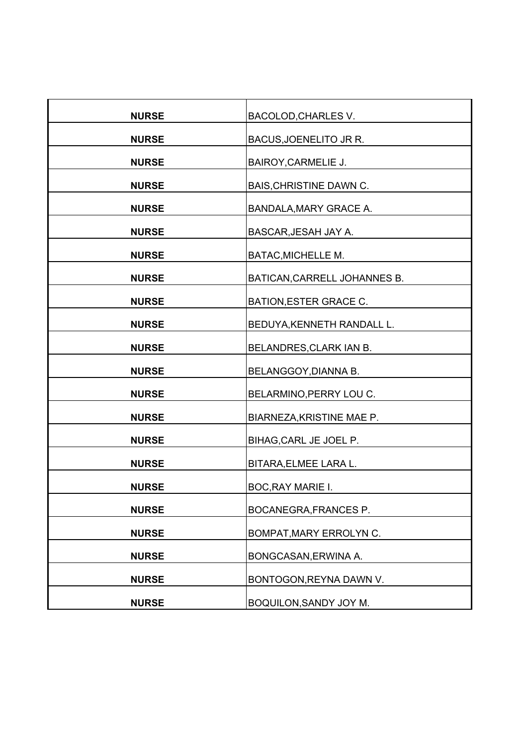| <b>NURSE</b> | BACOLOD, CHARLES V.            |
|--------------|--------------------------------|
| <b>NURSE</b> | BACUS, JOENELITO JR R.         |
| <b>NURSE</b> | <b>BAIROY, CARMELIE J.</b>     |
| <b>NURSE</b> | <b>BAIS, CHRISTINE DAWN C.</b> |
| <b>NURSE</b> | <b>BANDALA, MARY GRACE A.</b>  |
| <b>NURSE</b> | BASCAR, JESAH JAY A.           |
| <b>NURSE</b> | BATAC, MICHELLE M.             |
| <b>NURSE</b> | BATICAN, CARRELL JOHANNES B.   |
| <b>NURSE</b> | BATION, ESTER GRACE C.         |
| <b>NURSE</b> | BEDUYA, KENNETH RANDALL L.     |
| <b>NURSE</b> | BELANDRES, CLARK IAN B.        |
| <b>NURSE</b> | BELANGGOY, DIANNA B.           |
| <b>NURSE</b> | BELARMINO, PERRY LOU C.        |
| <b>NURSE</b> | BIARNEZA, KRISTINE MAE P.      |
| <b>NURSE</b> | BIHAG, CARL JE JOEL P.         |
| <b>NURSE</b> | BITARA, ELMEE LARA L.          |
| <b>NURSE</b> | BOC, RAY MARIE I.              |
| <b>NURSE</b> | BOCANEGRA, FRANCES P.          |
| <b>NURSE</b> | BOMPAT, MARY ERROLYN C.        |
| <b>NURSE</b> | BONGCASAN, ERWINA A.           |
| <b>NURSE</b> | BONTOGON, REYNA DAWN V.        |
| <b>NURSE</b> | BOQUILON, SANDY JOY M.         |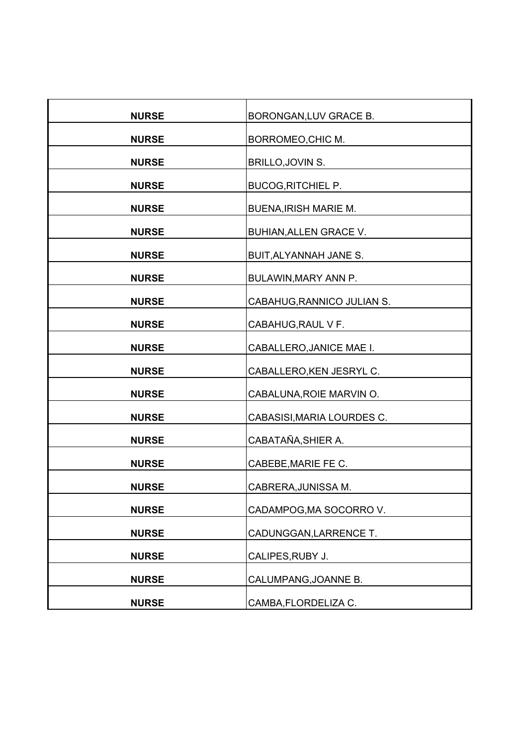| <b>NURSE</b> | BORONGAN, LUV GRACE B.       |
|--------------|------------------------------|
| <b>NURSE</b> | BORROMEO, CHIC M.            |
| <b>NURSE</b> | BRILLO, JOVIN S.             |
| <b>NURSE</b> | <b>BUCOG, RITCHIEL P.</b>    |
| <b>NURSE</b> | <b>BUENA, IRISH MARIE M.</b> |
| <b>NURSE</b> | BUHIAN, ALLEN GRACE V.       |
| <b>NURSE</b> | BUIT, ALYANNAH JANE S.       |
| <b>NURSE</b> | BULAWIN, MARY ANN P.         |
| <b>NURSE</b> | CABAHUG, RANNICO JULIAN S.   |
| <b>NURSE</b> | CABAHUG, RAUL V F.           |
| <b>NURSE</b> | CABALLERO, JANICE MAE I.     |
| <b>NURSE</b> | CABALLERO, KEN JESRYL C.     |
| <b>NURSE</b> | CABALUNA, ROIE MARVIN O.     |
| <b>NURSE</b> | CABASISI, MARIA LOURDES C.   |
| <b>NURSE</b> | CABATAÑA, SHIER A.           |
| <b>NURSE</b> | CABEBE, MARIE FE C.          |
| <b>NURSE</b> | CABRERA, JUNISSA M.          |
| <b>NURSE</b> | CADAMPOG, MA SOCORRO V.      |
| <b>NURSE</b> | CADUNGGAN, LARRENCE T.       |
| <b>NURSE</b> | CALIPES, RUBY J.             |
| <b>NURSE</b> |                              |
|              | CALUMPANG, JOANNE B.         |
| <b>NURSE</b> | CAMBA, FLORDELIZA C.         |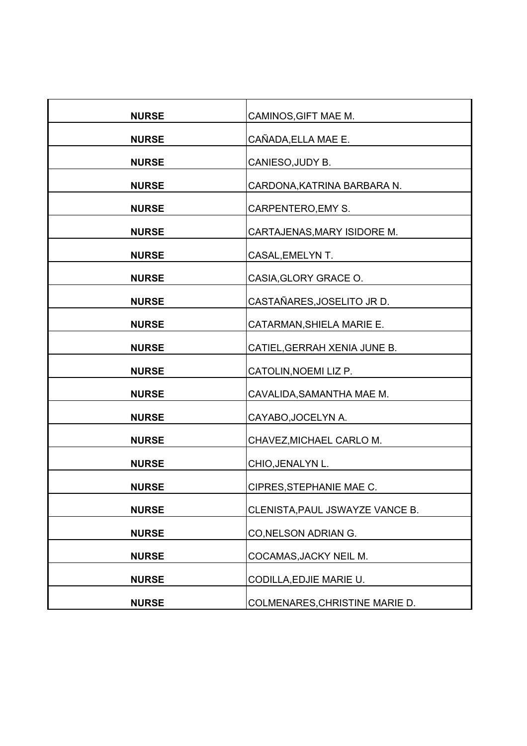| <b>NURSE</b> | CAMINOS, GIFT MAE M.            |
|--------------|---------------------------------|
| <b>NURSE</b> | CAÑADA, ELLA MAE E.             |
| <b>NURSE</b> | CANIESO, JUDY B.                |
| <b>NURSE</b> | CARDONA, KATRINA BARBARA N.     |
| <b>NURSE</b> | CARPENTERO, EMY S.              |
| <b>NURSE</b> | CARTAJENAS, MARY ISIDORE M.     |
| <b>NURSE</b> | CASAL, EMELYN T.                |
| <b>NURSE</b> | CASIA, GLORY GRACE O.           |
| <b>NURSE</b> | CASTAÑARES, JOSELITO JR D.      |
| <b>NURSE</b> | CATARMAN, SHIELA MARIE E.       |
| <b>NURSE</b> | CATIEL, GERRAH XENIA JUNE B.    |
| <b>NURSE</b> | CATOLIN, NOEMI LIZ P.           |
| <b>NURSE</b> | CAVALIDA, SAMANTHA MAE M.       |
| <b>NURSE</b> | CAYABO, JOCELYN A.              |
| <b>NURSE</b> | CHAVEZ, MICHAEL CARLO M.        |
| <b>NURSE</b> | CHIO, JENALYN L.                |
| <b>NURSE</b> | CIPRES, STEPHANIE MAE C.        |
| <b>NURSE</b> | CLENISTA, PAUL JSWAYZE VANCE B. |
| <b>NURSE</b> | CO, NELSON ADRIAN G.            |
| <b>NURSE</b> | COCAMAS, JACKY NEIL M.          |
| <b>NURSE</b> | CODILLA, EDJIE MARIE U.         |
| <b>NURSE</b> | COLMENARES, CHRISTINE MARIE D.  |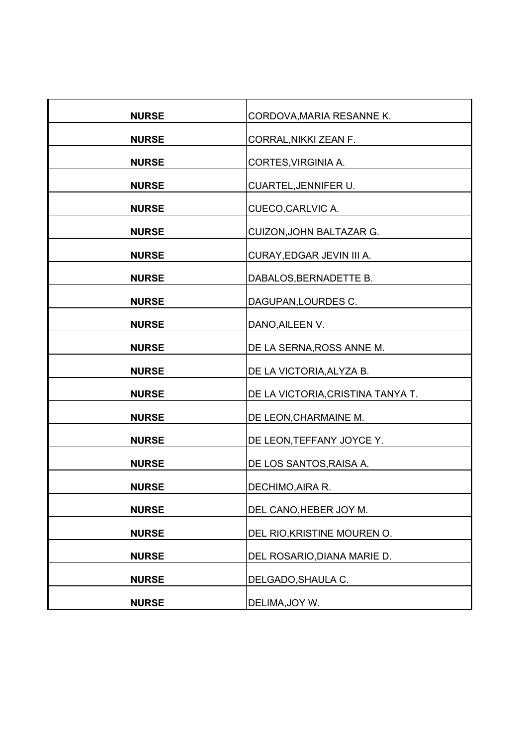| <b>NURSE</b> | CORDOVA, MARIA RESANNE K.         |
|--------------|-----------------------------------|
| <b>NURSE</b> | CORRAL, NIKKI ZEAN F.             |
| <b>NURSE</b> | CORTES, VIRGINIA A.               |
| <b>NURSE</b> | CUARTEL, JENNIFER U.              |
| <b>NURSE</b> | CUECO, CARLVIC A.                 |
| <b>NURSE</b> |                                   |
|              | CUIZON, JOHN BALTAZAR G.          |
| <b>NURSE</b> | CURAY, EDGAR JEVIN III A.         |
| <b>NURSE</b> | DABALOS, BERNADETTE B.            |
| <b>NURSE</b> | DAGUPAN, LOURDES C.               |
| <b>NURSE</b> | DANO, AILEEN V.                   |
| <b>NURSE</b> | DE LA SERNA, ROSS ANNE M.         |
| <b>NURSE</b> | DE LA VICTORIA, ALYZA B.          |
| <b>NURSE</b> | DE LA VICTORIA, CRISTINA TANYA T. |
| <b>NURSE</b> | DE LEON, CHARMAINE M.             |
| <b>NURSE</b> | DE LEON, TEFFANY JOYCE Y.         |
| <b>NURSE</b> | DE LOS SANTOS, RAISA A.           |
| <b>NURSE</b> | DECHIMO, AIRA R.                  |
| <b>NURSE</b> | DEL CANO, HEBER JOY M.            |
| <b>NURSE</b> | DEL RIO, KRISTINE MOUREN O.       |
| <b>NURSE</b> | DEL ROSARIO, DIANA MARIE D.       |
| <b>NURSE</b> | DELGADO, SHAULA C.                |
| <b>NURSE</b> | DELIMA, JOY W.                    |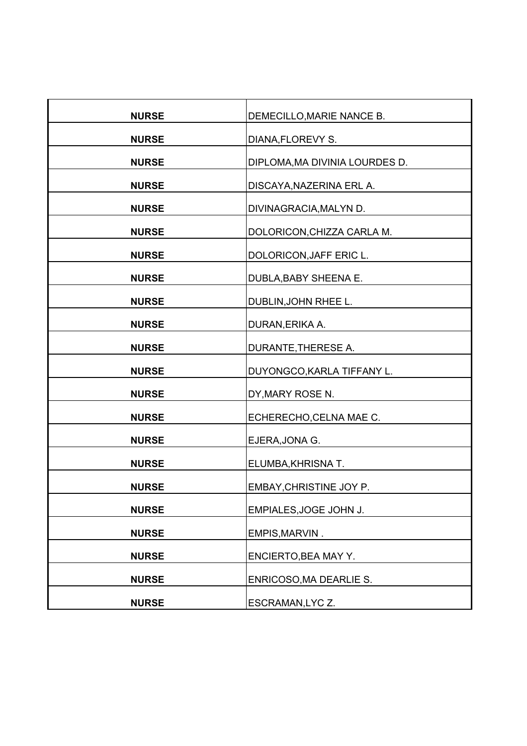| <b>NURSE</b> | DEMECILLO, MARIE NANCE B.      |
|--------------|--------------------------------|
| <b>NURSE</b> | DIANA, FLOREVY S.              |
| <b>NURSE</b> | DIPLOMA, MA DIVINIA LOURDES D. |
| <b>NURSE</b> | DISCAYA, NAZERINA ERL A.       |
| <b>NURSE</b> | DIVINAGRACIA, MALYN D.         |
| <b>NURSE</b> | DOLORICON, CHIZZA CARLA M.     |
| <b>NURSE</b> | DOLORICON, JAFF ERIC L.        |
| <b>NURSE</b> | DUBLA, BABY SHEENA E.          |
| <b>NURSE</b> | DUBLIN, JOHN RHEE L.           |
| <b>NURSE</b> | DURAN, ERIKA A.                |
| <b>NURSE</b> | DURANTE, THERESE A.            |
| <b>NURSE</b> | DUYONGCO, KARLA TIFFANY L.     |
| <b>NURSE</b> | DY, MARY ROSE N.               |
| <b>NURSE</b> | ECHERECHO, CELNA MAE C.        |
|              |                                |
| <b>NURSE</b> | EJERA, JONA G.                 |
| <b>NURSE</b> | ELUMBA, KHRISNA T.             |
| <b>NURSE</b> | EMBAY, CHRISTINE JOY P.        |
| <b>NURSE</b> | EMPIALES, JOGE JOHN J.         |
| <b>NURSE</b> | EMPIS, MARVIN.                 |
| <b>NURSE</b> | ENCIERTO, BEA MAY Y.           |
| <b>NURSE</b> | ENRICOSO, MA DEARLIE S.        |
| <b>NURSE</b> | ESCRAMAN, LYC Z.               |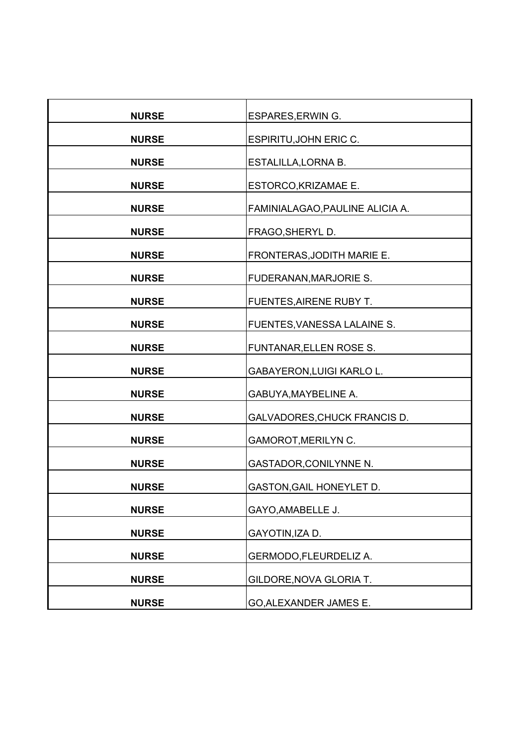| <b>NURSE</b> | <b>ESPARES, ERWIN G.</b>        |
|--------------|---------------------------------|
| <b>NURSE</b> | ESPIRITU, JOHN ERIC C.          |
| <b>NURSE</b> | ESTALILLA, LORNA B.             |
| <b>NURSE</b> | ESTORCO, KRIZAMAE E.            |
| <b>NURSE</b> | FAMINIALAGAO, PAULINE ALICIA A. |
| <b>NURSE</b> | FRAGO, SHERYL D.                |
| <b>NURSE</b> | FRONTERAS, JODITH MARIE E.      |
| <b>NURSE</b> | FUDERANAN, MARJORIE S.          |
| <b>NURSE</b> | FUENTES, AIRENE RUBY T.         |
| <b>NURSE</b> | FUENTES, VANESSA LALAINE S.     |
| <b>NURSE</b> | FUNTANAR, ELLEN ROSE S.         |
| <b>NURSE</b> | GABAYERON, LUIGI KARLO L.       |
| <b>NURSE</b> | GABUYA, MAYBELINE A.            |
| <b>NURSE</b> | GALVADORES, CHUCK FRANCIS D.    |
| <b>NURSE</b> | <b>GAMOROT, MERILYN C.</b>      |
| <b>NURSE</b> | <b>GASTADOR, CONILYNNE N.</b>   |
| <b>NURSE</b> | GASTON, GAIL HONEYLET D.        |
| <b>NURSE</b> | GAYO, AMABELLE J.               |
| <b>NURSE</b> | GAYOTIN, IZA D.                 |
| <b>NURSE</b> | GERMODO, FLEURDELIZ A.          |
| <b>NURSE</b> | GILDORE, NOVA GLORIA T.         |
| <b>NURSE</b> | GO, ALEXANDER JAMES E.          |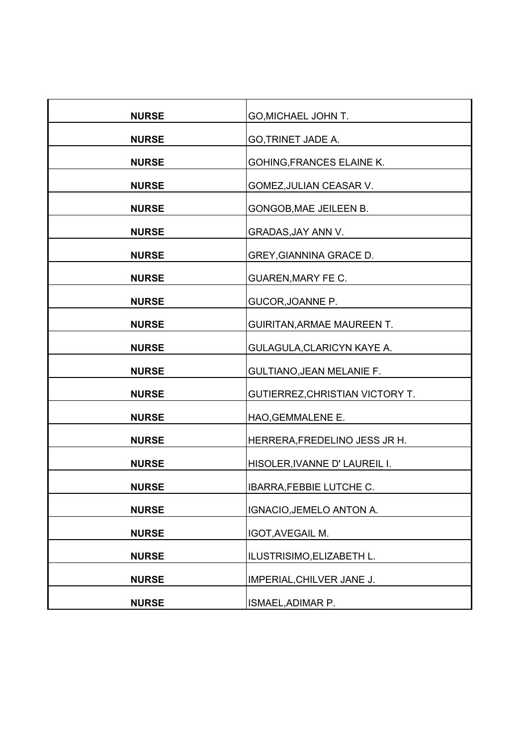| <b>NURSE</b> | GO, MICHAEL JOHN T.               |
|--------------|-----------------------------------|
| <b>NURSE</b> | GO, TRINET JADE A.                |
| <b>NURSE</b> | <b>GOHING, FRANCES ELAINE K.</b>  |
| <b>NURSE</b> | GOMEZ, JULIAN CEASAR V.           |
| <b>NURSE</b> | GONGOB, MAE JEILEEN B.            |
| <b>NURSE</b> | GRADAS, JAY ANN V.                |
| <b>NURSE</b> | GREY, GIANNINA GRACE D.           |
| <b>NURSE</b> | <b>GUAREN, MARY FE C.</b>         |
| <b>NURSE</b> | GUCOR, JOANNE P.                  |
| <b>NURSE</b> | <b>GUIRITAN, ARMAE MAUREEN T.</b> |
| <b>NURSE</b> | GULAGULA, CLARICYN KAYE A.        |
| <b>NURSE</b> | <b>GULTIANO, JEAN MELANIE F.</b>  |
| <b>NURSE</b> | GUTIERREZ, CHRISTIAN VICTORY T.   |
| <b>NURSE</b> | HAO, GEMMALENE E.                 |
| <b>NURSE</b> | HERRERA, FREDELINO JESS JR H.     |
| <b>NURSE</b> | HISOLER, IVANNE D'LAUREIL I.      |
| <b>NURSE</b> | <b>IBARRA, FEBBIE LUTCHE C.</b>   |
| <b>NURSE</b> | IGNACIO, JEMELO ANTON A.          |
| <b>NURSE</b> | IGOT, AVEGAIL M.                  |
| <b>NURSE</b> | ILUSTRISIMO, ELIZABETH L.         |
| <b>NURSE</b> | IMPERIAL, CHILVER JANE J.         |
| <b>NURSE</b> | ISMAEL, ADIMAR P.                 |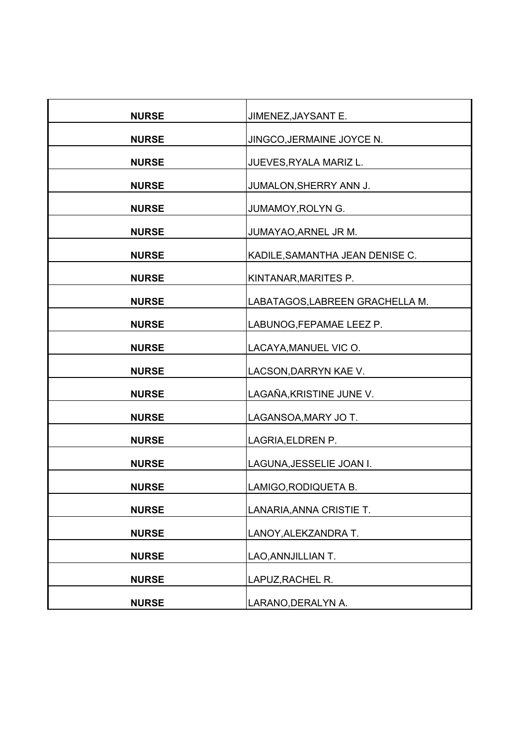| <b>NURSE</b> | JIMENEZ, JAYSANT E.             |
|--------------|---------------------------------|
| <b>NURSE</b> | JINGCO, JERMAINE JOYCE N.       |
| <b>NURSE</b> | JUEVES, RYALA MARIZ L.          |
| <b>NURSE</b> | JUMALON, SHERRY ANN J.          |
| <b>NURSE</b> | JUMAMOY, ROLYN G.               |
|              |                                 |
| <b>NURSE</b> | JUMAYAO, ARNEL JR M.            |
| <b>NURSE</b> | KADILE, SAMANTHA JEAN DENISE C. |
| <b>NURSE</b> | KINTANAR, MARITES P.            |
| <b>NURSE</b> | LABATAGOS, LABREEN GRACHELLA M. |
| <b>NURSE</b> | LABUNOG, FEPAMAE LEEZ P.        |
| <b>NURSE</b> | LACAYA, MANUEL VIC O.           |
| <b>NURSE</b> | LACSON, DARRYN KAE V.           |
| <b>NURSE</b> | LAGAÑA, KRISTINE JUNE V.        |
| <b>NURSE</b> | LAGANSOA, MARY JO T.            |
| <b>NURSE</b> | LAGRIA, ELDREN P.               |
| <b>NURSE</b> | LAGUNA, JESSELIE JOAN I.        |
| <b>NURSE</b> | LAMIGO, RODIQUETA B.            |
| <b>NURSE</b> | LANARIA, ANNA CRISTIE T.        |
| <b>NURSE</b> | LANOY, ALEKZANDRA T.            |
| <b>NURSE</b> | LAO, ANNJILLIAN T.              |
| <b>NURSE</b> | LAPUZ, RACHEL R.                |
| <b>NURSE</b> | LARANO, DERALYN A.              |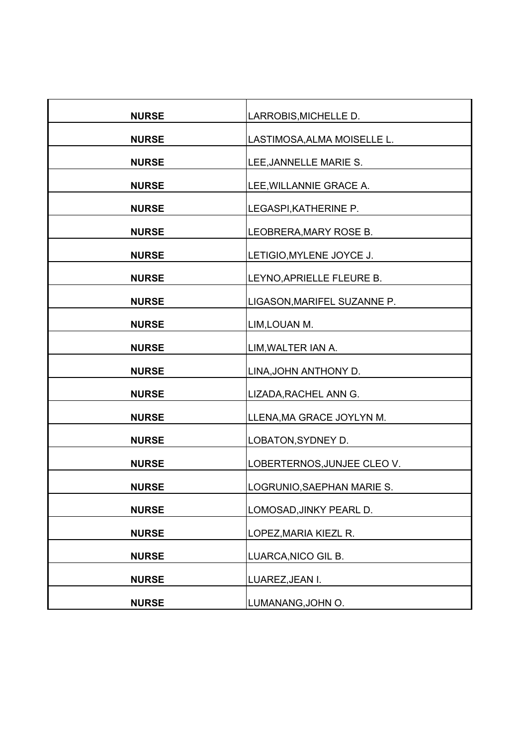| <b>NURSE</b> | LARROBIS, MICHELLE D.       |
|--------------|-----------------------------|
| <b>NURSE</b> | LASTIMOSA, ALMA MOISELLE L. |
| <b>NURSE</b> | LEE, JANNELLE MARIE S.      |
| <b>NURSE</b> | LEE, WILLANNIE GRACE A.     |
| <b>NURSE</b> | LEGASPI, KATHERINE P.       |
| <b>NURSE</b> | LEOBRERA, MARY ROSE B.      |
| <b>NURSE</b> | LETIGIO, MYLENE JOYCE J.    |
|              |                             |
| <b>NURSE</b> | LEYNO, APRIELLE FLEURE B.   |
| <b>NURSE</b> | LIGASON, MARIFEL SUZANNE P. |
| <b>NURSE</b> | LIM, LOUAN M.               |
| <b>NURSE</b> | LIM, WALTER IAN A.          |
| <b>NURSE</b> | LINA, JOHN ANTHONY D.       |
| <b>NURSE</b> | LIZADA, RACHEL ANN G.       |
| <b>NURSE</b> | LLENA, MA GRACE JOYLYN M.   |
| <b>NURSE</b> | LOBATON, SYDNEY D.          |
| <b>NURSE</b> | LOBERTERNOS, JUNJEE CLEO V. |
| <b>NURSE</b> | LOGRUNIO, SAEPHAN MARIE S.  |
| <b>NURSE</b> | LOMOSAD, JINKY PEARL D.     |
| <b>NURSE</b> | LOPEZ, MARIA KIEZL R.       |
| <b>NURSE</b> | LUARCA, NICO GIL B.         |
| <b>NURSE</b> | LUAREZ, JEAN I.             |
| <b>NURSE</b> | LUMANANG, JOHN O.           |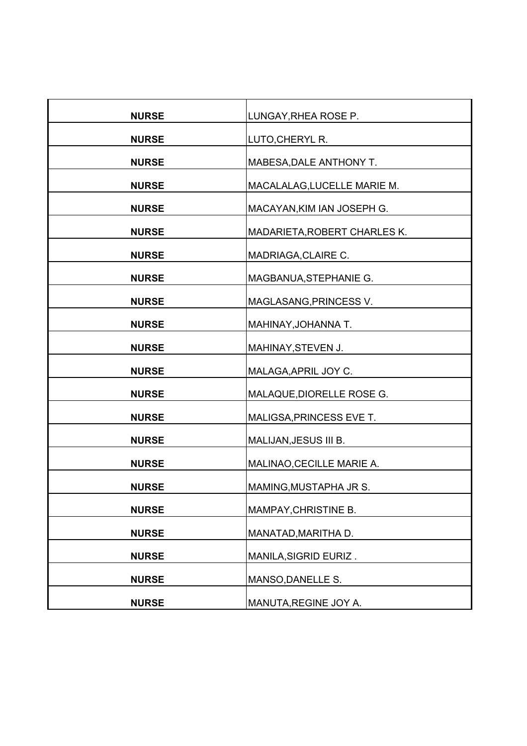| <b>NURSE</b> | LUNGAY, RHEA ROSE P.         |
|--------------|------------------------------|
| <b>NURSE</b> | LUTO, CHERYL R.              |
| <b>NURSE</b> | MABESA, DALE ANTHONY T.      |
| <b>NURSE</b> | MACALALAG, LUCELLE MARIE M.  |
| <b>NURSE</b> | MACAYAN, KIM IAN JOSEPH G.   |
| <b>NURSE</b> | MADARIETA, ROBERT CHARLES K. |
| <b>NURSE</b> | MADRIAGA, CLAIRE C.          |
| <b>NURSE</b> | MAGBANUA, STEPHANIE G.       |
| <b>NURSE</b> | MAGLASANG, PRINCESS V.       |
| <b>NURSE</b> | MAHINAY, JOHANNA T.          |
| <b>NURSE</b> | MAHINAY, STEVEN J.           |
| <b>NURSE</b> | MALAGA, APRIL JOY C.         |
| <b>NURSE</b> | MALAQUE, DIORELLE ROSE G.    |
| <b>NURSE</b> | MALIGSA, PRINCESS EVE T.     |
| <b>NURSE</b> | MALIJAN, JESUS III B.        |
| <b>NURSE</b> | MALINAO, CECILLE MARIE A.    |
| <b>NURSE</b> | MAMING, MUSTAPHA JR S.       |
| <b>NURSE</b> | MAMPAY, CHRISTINE B.         |
| <b>NURSE</b> | MANATAD, MARITHA D.          |
| <b>NURSE</b> | MANILA, SIGRID EURIZ.        |
| <b>NURSE</b> | MANSO, DANELLE S.            |
| <b>NURSE</b> | MANUTA, REGINE JOY A.        |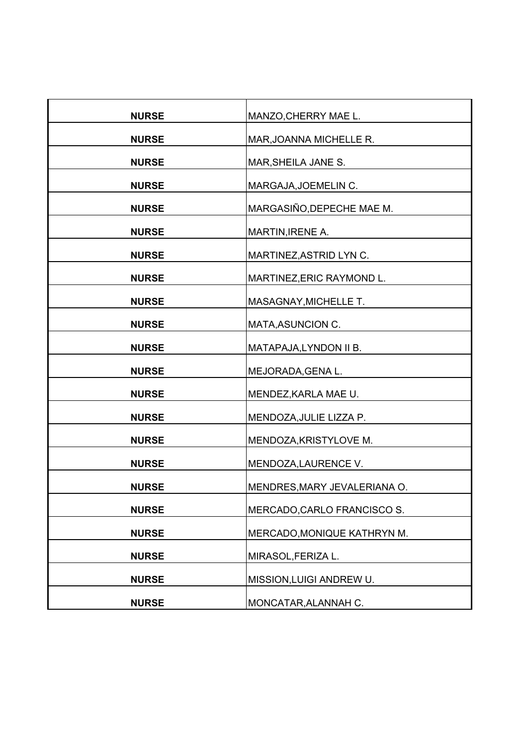| <b>NURSE</b> | MANZO, CHERRY MAE L.         |
|--------------|------------------------------|
| <b>NURSE</b> | MAR, JOANNA MICHELLE R.      |
| <b>NURSE</b> | MAR, SHEILA JANE S.          |
| <b>NURSE</b> | MARGAJA, JOEMELIN C.         |
| <b>NURSE</b> | MARGASIÑO, DEPECHE MAE M.    |
|              |                              |
| <b>NURSE</b> | MARTIN, IRENE A.             |
| <b>NURSE</b> | MARTINEZ, ASTRID LYN C.      |
| <b>NURSE</b> | MARTINEZ, ERIC RAYMOND L.    |
| <b>NURSE</b> | MASAGNAY, MICHELLE T.        |
| <b>NURSE</b> | MATA, ASUNCION C.            |
| <b>NURSE</b> | MATAPAJA, LYNDON II B.       |
| <b>NURSE</b> | MEJORADA, GENA L.            |
| <b>NURSE</b> | MENDEZ, KARLA MAE U.         |
| <b>NURSE</b> | MENDOZA, JULIE LIZZA P.      |
| <b>NURSE</b> | MENDOZA, KRISTYLOVE M.       |
| <b>NURSE</b> | MENDOZA, LAURENCE V.         |
| <b>NURSE</b> | MENDRES, MARY JEVALERIANA O. |
| <b>NURSE</b> | MERCADO, CARLO FRANCISCO S.  |
| <b>NURSE</b> | MERCADO, MONIQUE KATHRYN M.  |
| <b>NURSE</b> | MIRASOL, FERIZA L.           |
| <b>NURSE</b> | MISSION, LUIGI ANDREW U.     |
| <b>NURSE</b> | MONCATAR, ALANNAH C.         |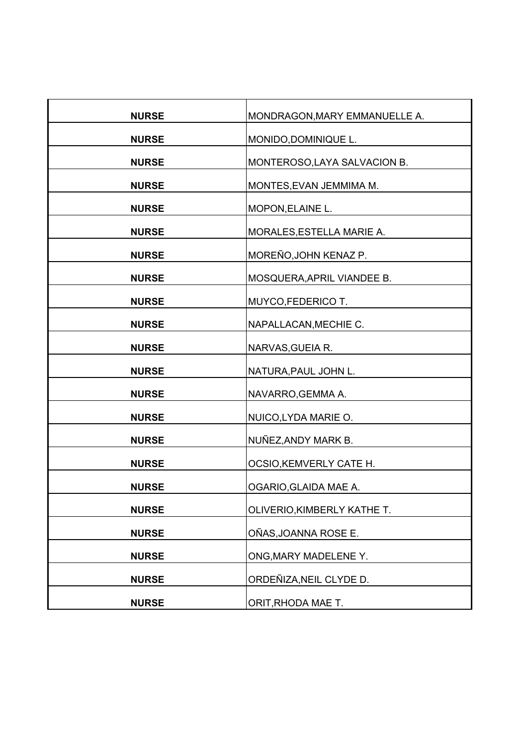| <b>NURSE</b> | MONDRAGON, MARY EMMANUELLE A. |
|--------------|-------------------------------|
| <b>NURSE</b> | MONIDO, DOMINIQUE L.          |
| <b>NURSE</b> | MONTEROSO, LAYA SALVACION B.  |
| <b>NURSE</b> | MONTES, EVAN JEMMIMA M.       |
| <b>NURSE</b> | MOPON, ELAINE L.              |
| <b>NURSE</b> | MORALES, ESTELLA MARIE A.     |
| <b>NURSE</b> | MOREÑO,JOHN KENAZ P.          |
| <b>NURSE</b> | MOSQUERA, APRIL VIANDEE B.    |
| <b>NURSE</b> | MUYCO, FEDERICO T.            |
| <b>NURSE</b> | NAPALLACAN, MECHIE C.         |
| <b>NURSE</b> | NARVAS, GUEIA R.              |
| <b>NURSE</b> | NATURA, PAUL JOHN L.          |
| <b>NURSE</b> | NAVARRO, GEMMA A.             |
| <b>NURSE</b> | NUICO, LYDA MARIE O.          |
| <b>NURSE</b> | NUÑEZ, ANDY MARK B.           |
| <b>NURSE</b> | OCSIO, KEMVERLY CATE H.       |
| <b>NURSE</b> | OGARIO, GLAIDA MAE A.         |
| <b>NURSE</b> | OLIVERIO, KIMBERLY KATHE T.   |
| <b>NURSE</b> | OÑAS, JOANNA ROSE E.          |
| <b>NURSE</b> | ONG, MARY MADELENE Y.         |
| <b>NURSE</b> | ORDEÑIZA, NEIL CLYDE D.       |
| <b>NURSE</b> | ORIT, RHODA MAE T.            |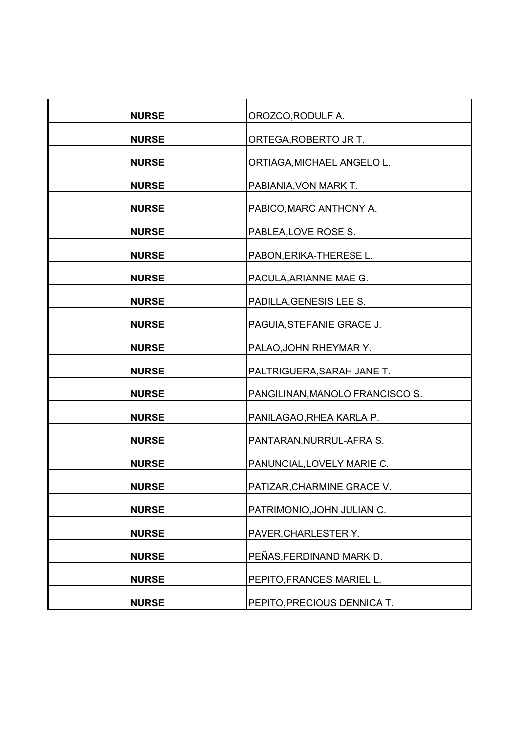| <b>NURSE</b> | OROZCO, RODULF A.               |
|--------------|---------------------------------|
| <b>NURSE</b> | ORTEGA, ROBERTO JR T.           |
| <b>NURSE</b> | ORTIAGA, MICHAEL ANGELO L.      |
| <b>NURSE</b> | PABIANIA, VON MARK T.           |
| <b>NURSE</b> | PABICO, MARC ANTHONY A.         |
| <b>NURSE</b> | PABLEA, LOVE ROSE S.            |
| <b>NURSE</b> | PABON, ERIKA-THERESE L.         |
| <b>NURSE</b> | PACULA, ARIANNE MAE G.          |
| <b>NURSE</b> | PADILLA, GENESIS LEE S.         |
| <b>NURSE</b> | PAGUIA, STEFANIE GRACE J.       |
| <b>NURSE</b> | PALAO, JOHN RHEYMAR Y.          |
| <b>NURSE</b> | PALTRIGUERA, SARAH JANE T.      |
| <b>NURSE</b> | PANGILINAN, MANOLO FRANCISCO S. |
| <b>NURSE</b> | PANILAGAO, RHEA KARLA P.        |
| <b>NURSE</b> | PANTARAN, NURRUL-AFRA S.        |
| <b>NURSE</b> | PANUNCIAL, LOVELY MARIE C.      |
| <b>NURSE</b> | PATIZAR, CHARMINE GRACE V.      |
| <b>NURSE</b> | PATRIMONIO, JOHN JULIAN C.      |
| <b>NURSE</b> | PAVER, CHARLESTER Y.            |
| <b>NURSE</b> | PEÑAS, FERDINAND MARK D.        |
| <b>NURSE</b> | PEPITO, FRANCES MARIEL L.       |
| <b>NURSE</b> | PEPITO, PRECIOUS DENNICA T.     |
|              |                                 |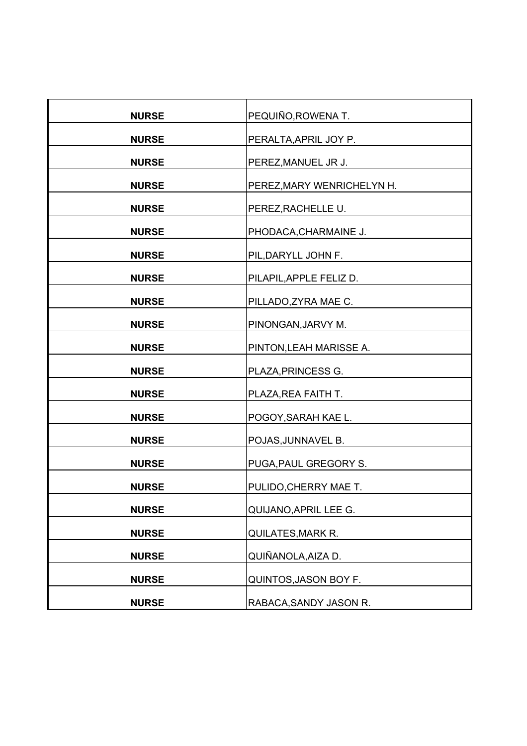| <b>NURSE</b> | PEQUIÑO, ROWENA T.         |
|--------------|----------------------------|
| <b>NURSE</b> | PERALTA, APRIL JOY P.      |
| <b>NURSE</b> | PEREZ, MANUEL JR J.        |
| <b>NURSE</b> | PEREZ, MARY WENRICHELYN H. |
| <b>NURSE</b> | PEREZ, RACHELLE U.         |
| <b>NURSE</b> | PHODACA, CHARMAINE J.      |
| <b>NURSE</b> | PIL, DARYLL JOHN F.        |
| <b>NURSE</b> | PILAPIL, APPLE FELIZ D.    |
| <b>NURSE</b> | PILLADO, ZYRA MAE C.       |
| <b>NURSE</b> | PINONGAN, JARVY M.         |
| <b>NURSE</b> | PINTON, LEAH MARISSE A.    |
| <b>NURSE</b> | PLAZA, PRINCESS G.         |
| <b>NURSE</b> | PLAZA, REA FAITH T.        |
| <b>NURSE</b> | POGOY, SARAH KAE L.        |
| <b>NURSE</b> | POJAS, JUNNAVEL B.         |
| <b>NURSE</b> | PUGA, PAUL GREGORY S.      |
| <b>NURSE</b> | PULIDO, CHERRY MAE T.      |
| <b>NURSE</b> | QUIJANO, APRIL LEE G.      |
| <b>NURSE</b> | QUILATES, MARK R.          |
| <b>NURSE</b> | QUIÑANOLA, AIZA D.         |
| <b>NURSE</b> | QUINTOS, JASON BOY F.      |
| <b>NURSE</b> | RABACA, SANDY JASON R.     |
|              |                            |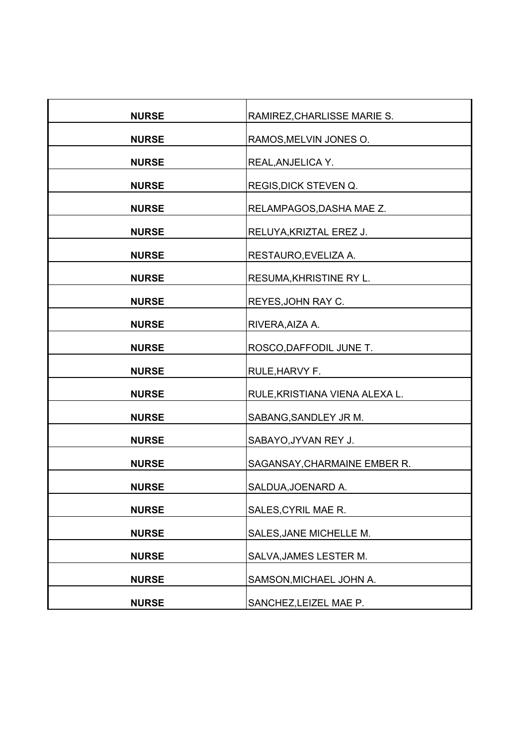| <b>NURSE</b> | RAMIREZ, CHARLISSE MARIE S.    |
|--------------|--------------------------------|
| <b>NURSE</b> | RAMOS, MELVIN JONES O.         |
| <b>NURSE</b> | REAL, ANJELICA Y.              |
| <b>NURSE</b> | REGIS, DICK STEVEN Q.          |
| <b>NURSE</b> | RELAMPAGOS, DASHA MAE Z.       |
| <b>NURSE</b> | RELUYA, KRIZTAL EREZ J.        |
| <b>NURSE</b> | RESTAURO, EVELIZA A.           |
| <b>NURSE</b> | RESUMA, KHRISTINE RY L.        |
| <b>NURSE</b> | REYES, JOHN RAY C.             |
|              |                                |
| <b>NURSE</b> | RIVERA, AIZA A.                |
| <b>NURSE</b> | ROSCO, DAFFODIL JUNE T.        |
| <b>NURSE</b> | RULE, HARVY F.                 |
| <b>NURSE</b> | RULE, KRISTIANA VIENA ALEXA L. |
| <b>NURSE</b> | SABANG, SANDLEY JR M.          |
| <b>NURSE</b> | SABAYO, JYVAN REY J.           |
| <b>NURSE</b> | SAGANSAY, CHARMAINE EMBER R.   |
| <b>NURSE</b> | SALDUA, JOENARD A.             |
| <b>NURSE</b> | SALES, CYRIL MAE R.            |
| <b>NURSE</b> | SALES, JANE MICHELLE M.        |
| <b>NURSE</b> | SALVA, JAMES LESTER M.         |
| <b>NURSE</b> | SAMSON, MICHAEL JOHN A.        |
| <b>NURSE</b> | SANCHEZ, LEIZEL MAE P.         |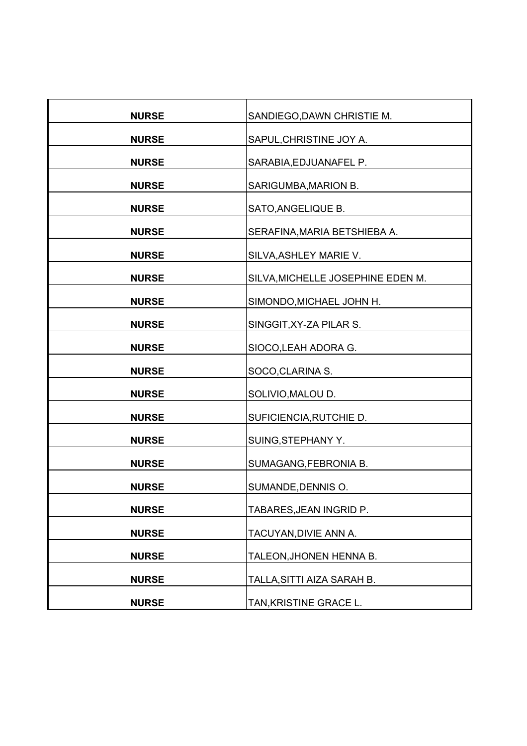| <b>NURSE</b> | SANDIEGO, DAWN CHRISTIE M.        |
|--------------|-----------------------------------|
| <b>NURSE</b> | SAPUL, CHRISTINE JOY A.           |
| <b>NURSE</b> | SARABIA, EDJUANAFEL P.            |
| <b>NURSE</b> | SARIGUMBA, MARION B.              |
| <b>NURSE</b> | SATO, ANGELIQUE B.                |
| <b>NURSE</b> | SERAFINA, MARIA BETSHIEBA A.      |
| <b>NURSE</b> | SILVA, ASHLEY MARIE V.            |
| <b>NURSE</b> | SILVA, MICHELLE JOSEPHINE EDEN M. |
| <b>NURSE</b> | SIMONDO, MICHAEL JOHN H.          |
| <b>NURSE</b> | SINGGIT, XY-ZA PILAR S.           |
| <b>NURSE</b> | SIOCO, LEAH ADORA G.              |
| <b>NURSE</b> | SOCO, CLARINA S.                  |
| <b>NURSE</b> | SOLIVIO, MALOU D.                 |
| <b>NURSE</b> | SUFICIENCIA, RUTCHIE D.           |
| <b>NURSE</b> | SUING, STEPHANY Y.                |
| <b>NURSE</b> | SUMAGANG, FEBRONIA B.             |
| <b>NURSE</b> | SUMANDE, DENNIS O.                |
| <b>NURSE</b> | TABARES, JEAN INGRID P.           |
| <b>NURSE</b> | TACUYAN, DIVIE ANN A.             |
| <b>NURSE</b> | TALEON, JHONEN HENNA B.           |
| <b>NURSE</b> | TALLA, SITTI AIZA SARAH B.        |
| <b>NURSE</b> | TAN, KRISTINE GRACE L.            |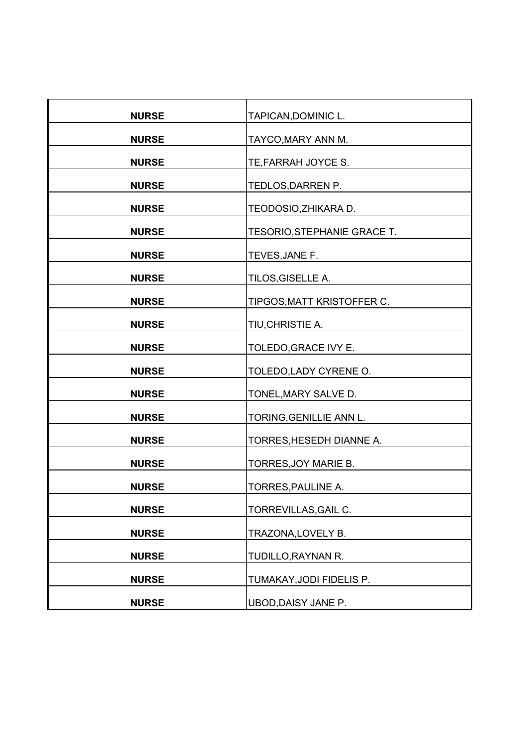| <b>NURSE</b> | TAPICAN, DOMINIC L.         |
|--------------|-----------------------------|
| <b>NURSE</b> | TAYCO, MARY ANN M.          |
| <b>NURSE</b> | TE, FARRAH JOYCE S.         |
| <b>NURSE</b> | TEDLOS, DARREN P.           |
| <b>NURSE</b> | TEODOSIO, ZHIKARA D.        |
| <b>NURSE</b> | TESORIO, STEPHANIE GRACE T. |
| <b>NURSE</b> | TEVES, JANE F.              |
| <b>NURSE</b> | TILOS, GISELLE A.           |
| <b>NURSE</b> | TIPGOS, MATT KRISTOFFER C.  |
| <b>NURSE</b> | TIU, CHRISTIE A.            |
| <b>NURSE</b> | TOLEDO, GRACE IVY E.        |
| <b>NURSE</b> | TOLEDO, LADY CYRENE O.      |
| <b>NURSE</b> | TONEL, MARY SALVE D.        |
| <b>NURSE</b> | TORING, GENILLIE ANN L.     |
| <b>NURSE</b> | TORRES, HESEDH DIANNE A.    |
| <b>NURSE</b> | TORRES, JOY MARIE B.        |
| <b>NURSE</b> | TORRES, PAULINE A.          |
| <b>NURSE</b> | TORREVILLAS, GAIL C.        |
| <b>NURSE</b> | TRAZONA, LOVELY B.          |
| <b>NURSE</b> | TUDILLO, RAYNAN R.          |
| <b>NURSE</b> | TUMAKAY, JODI FIDELIS P.    |
| <b>NURSE</b> | UBOD, DAISY JANE P.         |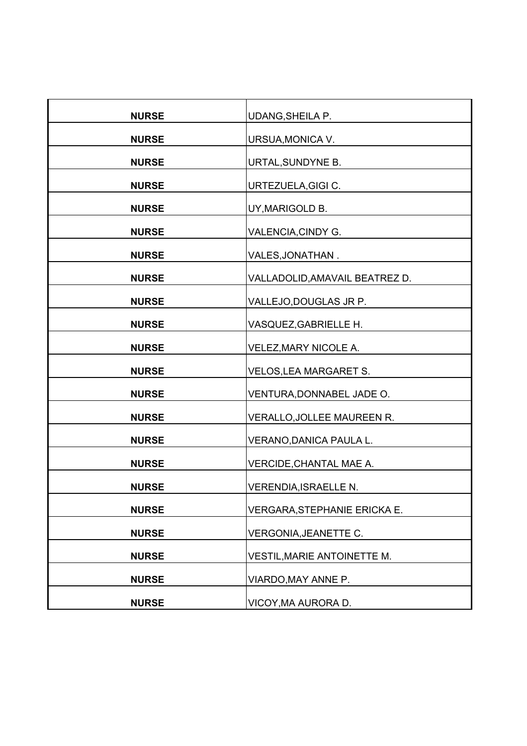| <b>NURSE</b> | <b>UDANG, SHEILA P.</b>        |
|--------------|--------------------------------|
| <b>NURSE</b> | URSUA, MONICA V.               |
| <b>NURSE</b> | URTAL, SUNDYNE B.              |
| <b>NURSE</b> | URTEZUELA, GIGI C.             |
| <b>NURSE</b> | UY, MARIGOLD B.                |
| <b>NURSE</b> | VALENCIA, CINDY G.             |
|              |                                |
| <b>NURSE</b> | VALES, JONATHAN.               |
| <b>NURSE</b> | VALLADOLID, AMAVAIL BEATREZ D. |
| <b>NURSE</b> | VALLEJO,DOUGLAS JR P.          |
| <b>NURSE</b> | VASQUEZ, GABRIELLE H.          |
| <b>NURSE</b> | VELEZ, MARY NICOLE A.          |
| <b>NURSE</b> | VELOS, LEA MARGARET S.         |
| <b>NURSE</b> | VENTURA, DONNABEL JADE O.      |
| <b>NURSE</b> | VERALLO, JOLLEE MAUREEN R.     |
| <b>NURSE</b> | VERANO, DANICA PAULA L.        |
| <b>NURSE</b> | VERCIDE, CHANTAL MAE A.        |
| <b>NURSE</b> | VERENDIA, ISRAELLE N.          |
| <b>NURSE</b> | VERGARA, STEPHANIE ERICKA E.   |
| <b>NURSE</b> | VERGONIA, JEANETTE C.          |
| <b>NURSE</b> | VESTIL, MARIE ANTOINETTE M.    |
| <b>NURSE</b> | VIARDO, MAY ANNE P.            |
| <b>NURSE</b> | VICOY, MA AURORA D.            |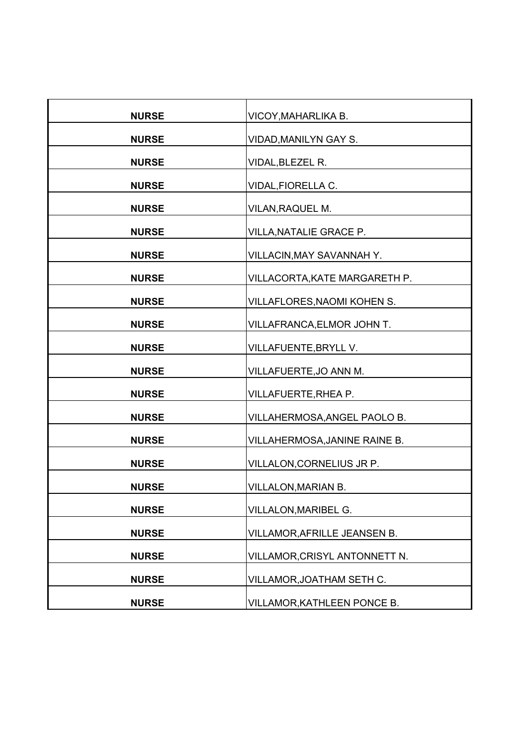| <b>NURSE</b> | VICOY, MAHARLIKA B.           |
|--------------|-------------------------------|
| <b>NURSE</b> | VIDAD, MANILYN GAY S.         |
| <b>NURSE</b> | VIDAL, BLEZEL R.              |
| <b>NURSE</b> | VIDAL, FIORELLA C.            |
| <b>NURSE</b> | VILAN, RAQUEL M.              |
|              |                               |
| <b>NURSE</b> | VILLA, NATALIE GRACE P.       |
| <b>NURSE</b> | VILLACIN, MAY SAVANNAH Y.     |
| <b>NURSE</b> | VILLACORTA, KATE MARGARETH P. |
| <b>NURSE</b> | VILLAFLORES, NAOMI KOHEN S.   |
| <b>NURSE</b> | VILLAFRANCA, ELMOR JOHN T.    |
| <b>NURSE</b> | VILLAFUENTE, BRYLL V.         |
| <b>NURSE</b> | VILLAFUERTE, JO ANN M.        |
| <b>NURSE</b> | VILLAFUERTE, RHEA P.          |
| <b>NURSE</b> | VILLAHERMOSA, ANGEL PAOLO B.  |
| <b>NURSE</b> | VILLAHERMOSA, JANINE RAINE B. |
| <b>NURSE</b> | VILLALON, CORNELIUS JR P.     |
| <b>NURSE</b> | <b>VILLALON, MARIAN B.</b>    |
| <b>NURSE</b> | VILLALON, MARIBEL G.          |
| <b>NURSE</b> | VILLAMOR, AFRILLE JEANSEN B.  |
| <b>NURSE</b> | VILLAMOR, CRISYL ANTONNETT N. |
| <b>NURSE</b> | VILLAMOR, JOATHAM SETH C.     |
| <b>NURSE</b> | VILLAMOR, KATHLEEN PONCE B.   |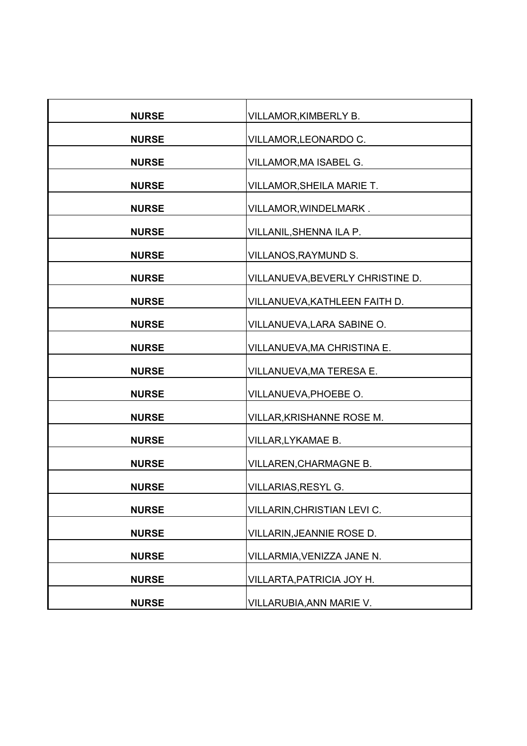| <b>NURSE</b> | VILLAMOR, KIMBERLY B.            |
|--------------|----------------------------------|
| <b>NURSE</b> | VILLAMOR, LEONARDO C.            |
| <b>NURSE</b> | VILLAMOR, MA ISABEL G.           |
| <b>NURSE</b> | VILLAMOR, SHEILA MARIE T.        |
| <b>NURSE</b> | VILLAMOR, WINDELMARK.            |
|              |                                  |
| <b>NURSE</b> | VILLANIL, SHENNA ILA P.          |
| <b>NURSE</b> | VILLANOS, RAYMUND S.             |
| <b>NURSE</b> | VILLANUEVA, BEVERLY CHRISTINE D. |
| <b>NURSE</b> | VILLANUEVA, KATHLEEN FAITH D.    |
| <b>NURSE</b> | VILLANUEVA, LARA SABINE O.       |
| <b>NURSE</b> | VILLANUEVA, MA CHRISTINA E.      |
| <b>NURSE</b> | VILLANUEVA, MA TERESA E.         |
| <b>NURSE</b> | VILLANUEVA, PHOEBE O.            |
| <b>NURSE</b> | VILLAR, KRISHANNE ROSE M.        |
| <b>NURSE</b> | VILLAR, LYKAMAE B.               |
| <b>NURSE</b> | <b>VILLAREN, CHARMAGNE B.</b>    |
| <b>NURSE</b> | <b>VILLARIAS, RESYL G.</b>       |
| <b>NURSE</b> | VILLARIN, CHRISTIAN LEVI C.      |
| <b>NURSE</b> | VILLARIN, JEANNIE ROSE D.        |
| <b>NURSE</b> | VILLARMIA, VENIZZA JANE N.       |
| <b>NURSE</b> | VILLARTA, PATRICIA JOY H.        |
|              |                                  |
| <b>NURSE</b> | VILLARUBIA, ANN MARIE V.         |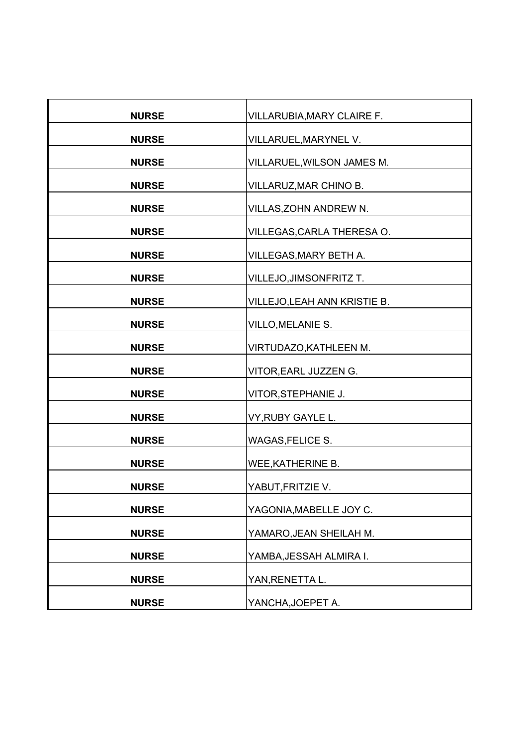| <b>NURSE</b> | VILLARUBIA, MARY CLAIRE F.   |
|--------------|------------------------------|
| <b>NURSE</b> | VILLARUEL, MARYNEL V.        |
| <b>NURSE</b> | VILLARUEL, WILSON JAMES M.   |
| <b>NURSE</b> | VILLARUZ, MAR CHINO B.       |
| <b>NURSE</b> | VILLAS, ZOHN ANDREW N.       |
|              |                              |
| <b>NURSE</b> | VILLEGAS, CARLA THERESA O.   |
| <b>NURSE</b> | VILLEGAS, MARY BETH A.       |
| <b>NURSE</b> | VILLEJO,JIMSONFRITZ T.       |
| <b>NURSE</b> | VILLEJO, LEAH ANN KRISTIE B. |
| <b>NURSE</b> | <b>VILLO, MELANIE S.</b>     |
| <b>NURSE</b> | VIRTUDAZO, KATHLEEN M.       |
| <b>NURSE</b> | VITOR, EARL JUZZEN G.        |
| <b>NURSE</b> | VITOR, STEPHANIE J.          |
| <b>NURSE</b> | VY, RUBY GAYLE L.            |
| <b>NURSE</b> | WAGAS, FELICE S.             |
| <b>NURSE</b> | WEE, KATHERINE B.            |
| <b>NURSE</b> | YABUT, FRITZIE V.            |
| <b>NURSE</b> | YAGONIA, MABELLE JOY C.      |
| <b>NURSE</b> | YAMARO, JEAN SHEILAH M.      |
| <b>NURSE</b> | YAMBA, JESSAH ALMIRA I.      |
| <b>NURSE</b> | YAN, RENETTA L.              |
|              |                              |
| <b>NURSE</b> | YANCHA, JOEPET A.            |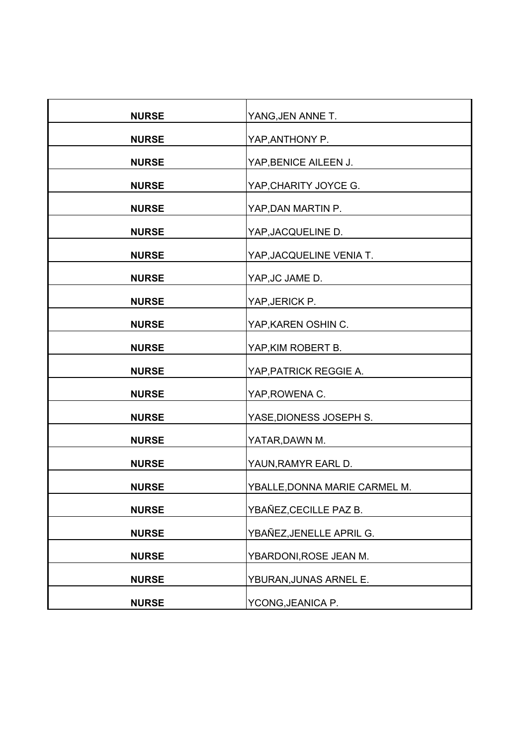| <b>NURSE</b> | YANG, JEN ANNE T.             |
|--------------|-------------------------------|
| <b>NURSE</b> | YAP, ANTHONY P.               |
| <b>NURSE</b> | YAP, BENICE AILEEN J.         |
| <b>NURSE</b> | YAP, CHARITY JOYCE G.         |
| <b>NURSE</b> | YAP, DAN MARTIN P.            |
| <b>NURSE</b> | YAP, JACQUELINE D.            |
| <b>NURSE</b> | YAP, JACQUELINE VENIA T.      |
| <b>NURSE</b> | YAP, JC JAME D.               |
| <b>NURSE</b> | YAP, JERICK P.                |
| <b>NURSE</b> | YAP, KAREN OSHIN C.           |
| <b>NURSE</b> | YAP, KIM ROBERT B.            |
| <b>NURSE</b> | YAP, PATRICK REGGIE A.        |
| <b>NURSE</b> | YAP, ROWENA C.                |
| <b>NURSE</b> | YASE, DIONESS JOSEPH S.       |
| <b>NURSE</b> |                               |
|              | YATAR, DAWN M.                |
| <b>NURSE</b> | YAUN, RAMYR EARL D.           |
| <b>NURSE</b> | YBALLE, DONNA MARIE CARMEL M. |
| <b>NURSE</b> | YBAÑEZ, CECILLE PAZ B.        |
| <b>NURSE</b> | YBAÑEZ, JENELLE APRIL G.      |
| <b>NURSE</b> | YBARDONI, ROSE JEAN M.        |
| <b>NURSE</b> | YBURAN, JUNAS ARNEL E.        |
| <b>NURSE</b> | YCONG, JEANICA P.             |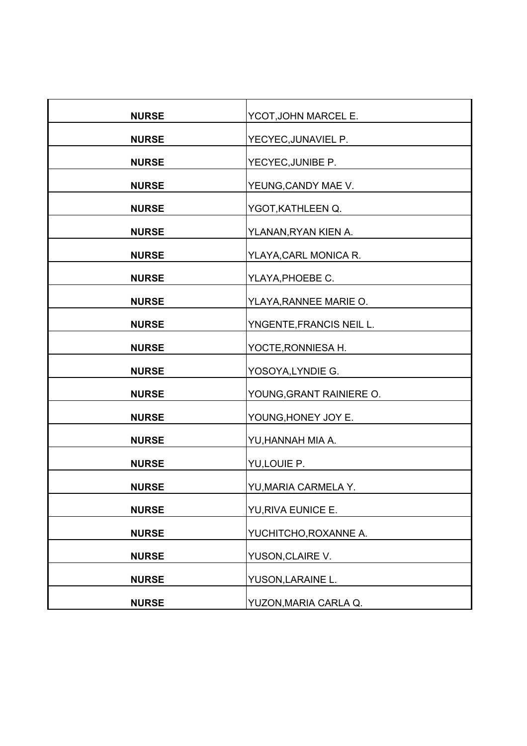| <b>NURSE</b> | YCOT, JOHN MARCEL E.     |
|--------------|--------------------------|
| <b>NURSE</b> | YECYEC, JUNAVIEL P.      |
| <b>NURSE</b> | YECYEC, JUNIBE P.        |
| <b>NURSE</b> | YEUNG, CANDY MAE V.      |
| <b>NURSE</b> | YGOT, KATHLEEN Q.        |
| <b>NURSE</b> | YLANAN, RYAN KIEN A.     |
| <b>NURSE</b> | YLAYA, CARL MONICA R.    |
|              |                          |
| <b>NURSE</b> | YLAYA, PHOEBE C.         |
| <b>NURSE</b> | YLAYA, RANNEE MARIE O.   |
| <b>NURSE</b> | YNGENTE, FRANCIS NEIL L. |
| <b>NURSE</b> | YOCTE, RONNIESA H.       |
| <b>NURSE</b> | YOSOYA,LYNDIE G.         |
| <b>NURSE</b> | YOUNG, GRANT RAINIERE O. |
| <b>NURSE</b> | YOUNG, HONEY JOY E.      |
| <b>NURSE</b> | YU,HANNAH MIA A.         |
| <b>NURSE</b> | YU,LOUIE P.              |
| <b>NURSE</b> | YU, MARIA CARMELA Y.     |
| <b>NURSE</b> | YU, RIVA EUNICE E.       |
| <b>NURSE</b> | YUCHITCHO, ROXANNE A.    |
| <b>NURSE</b> | YUSON, CLAIRE V.         |
| <b>NURSE</b> | YUSON, LARAINE L.        |
| <b>NURSE</b> | YUZON, MARIA CARLA Q.    |